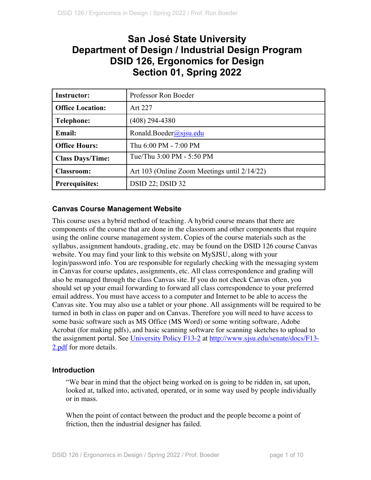# **San José State University Department of Design / Industrial Design Program DSID 126, Ergonomics for Design Section 01, Spring 2022**

| <b>Instructor:</b>      | Professor Ron Boeder                         |
|-------------------------|----------------------------------------------|
| <b>Office Location:</b> | Art 227                                      |
| Telephone:              | $(408)$ 294-4380                             |
| <b>Email:</b>           | Ronald.Boeder@sjsu.edu                       |
| <b>Office Hours:</b>    | Thu 6:00 PM - 7:00 PM                        |
| <b>Class Days/Time:</b> | Tue/Thu 3:00 PM - 5:50 PM                    |
| <b>Classroom:</b>       | Art 103 (Online Zoom Meetings until 2/14/22) |
| <b>Prerequisites:</b>   | <b>DSID 22; DSID 32</b>                      |

## **Canvas Course Management Website**

This course uses a hybrid method of teaching. A hybrid course means that there are components of the course that are done in the classroom and other components that require using the online course management system. Copies of the course materials such as the syllabus, assignment handouts, grading, etc. may be found on the DSID 126 course Canvas website. You may find your link to this website on MySJSU, along with your login/password info. You are responsible for regularly checking with the messaging system in Canvas for course updates, assignments, etc. All class correspondence and grading will also be managed through the class Canvas site. If you do not check Canvas often, you should set up your email forwarding to forward all class correspondence to your preferred email address. You must have access to a computer and Internet to be able to access the Canvas site. You may also use a tablet or your phone. All assignments will be required to be turned in both in class on paper and on Canvas. Therefore you will need to have access to some basic software such as MS Office (MS Word) or some writing software, Adobe Acrobat (for making pdfs), and basic scanning software for scanning sketches to upload to the assignment portal. See University Policy F13-2 at http://www.sjsu.edu/senate/docs/F13- 2.pdf for more details.

## **Introduction**

"We bear in mind that the object being worked on is going to be ridden in, sat upon, looked at, talked into, activated, operated, or in some way used by people individually or in mass.

When the point of contact between the product and the people become a point of friction, then the industrial designer has failed.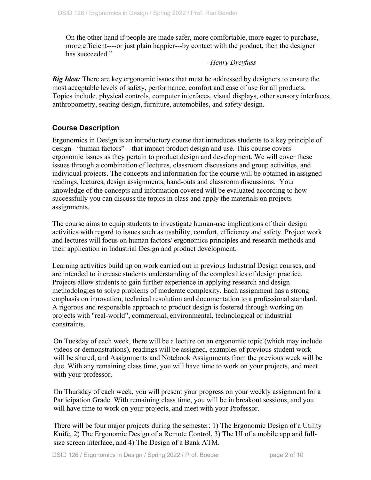On the other hand if people are made safer, more comfortable, more eager to purchase, more efficient----or just plain happier---by contact with the product, then the designer has succeeded."

## *– Henry Dreyfuss*

*Big Idea:* There are key ergonomic issues that must be addressed by designers to ensure the most acceptable levels of safety, performance, comfort and ease of use for all products. Topics include, physical controls, computer interfaces, visual displays, other sensory interfaces, anthropometry, seating design, furniture, automobiles, and safety design.

# **Course Description**

Ergonomics in Design is an introductory course that introduces students to a key principle of design –"human factors" – that impact product design and use. This course covers ergonomic issues as they pertain to product design and development. We will cover these issues through a combination of lectures, classroom discussions and group activities, and individual projects. The concepts and information for the course will be obtained in assigned readings, lectures, design assignments, hand-outs and classroom discussions. Your knowledge of the concepts and information covered will be evaluated according to how successfully you can discuss the topics in class and apply the materials on projects assignments.

The course aims to equip students to investigate human-use implications of their design activities with regard to issues such as usability, comfort, efficiency and safety. Project work and lectures will focus on human factors/ ergonomics principles and research methods and their application in Industrial Design and product development.

Learning activities build up on work carried out in previous Industrial Design courses, and are intended to increase students understanding of the complexities of design practice. Projects allow students to gain further experience in applying research and design methodologies to solve problems of moderate complexity. Each assignment has a strong emphasis on innovation, technical resolution and documentation to a professional standard. A rigorous and responsible approach to product design is fostered through working on projects with "real-world", commercial, environmental, technological or industrial constraints.

On Tuesday of each week, there will be a lecture on an ergonomic topic (which may include videos or demonstrations), readings will be assigned, examples of previous student work will be shared, and Assignments and Notebook Assignments from the previous week will be due. With any remaining class time, you will have time to work on your projects, and meet with your professor.

On Thursday of each week, you will present your progress on your weekly assignment for a Participation Grade. With remaining class time, you will be in breakout sessions, and you will have time to work on your projects, and meet with your Professor.

There will be four major projects during the semester: 1) The Ergonomic Design of a Utility Knife, 2) The Ergonomic Design of a Remote Control, 3) The UI of a mobile app and fullsize screen interface, and 4) The Design of a Bank ATM.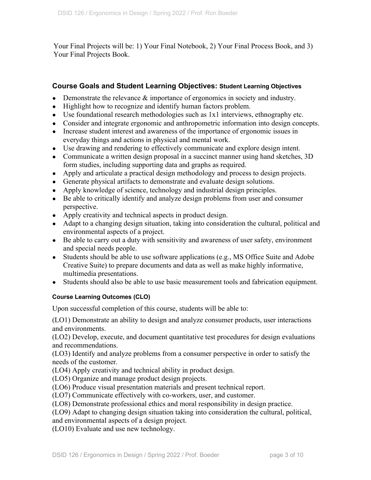Your Final Projects will be: 1) Your Final Notebook, 2) Your Final Process Book, and 3) Your Final Projects Book.

## **Course Goals and Student Learning Objectives: Student Learning Objectives**

- Demonstrate the relevance  $\&$  importance of ergonomics in society and industry.
- Highlight how to recognize and identify human factors problem.
- Use foundational research methodologies such as 1x1 interviews, ethnography etc.
- Consider and integrate ergonomic and anthropometric information into design concepts.
- Increase student interest and awareness of the importance of ergonomic issues in everyday things and actions in physical and mental work.
- Use drawing and rendering to effectively communicate and explore design intent.
- Communicate a written design proposal in a succinct manner using hand sketches, 3D form studies, including supporting data and graphs as required.
- Apply and articulate a practical design methodology and process to design projects.
- Generate physical artifacts to demonstrate and evaluate design solutions.
- Apply knowledge of science, technology and industrial design principles.
- Be able to critically identify and analyze design problems from user and consumer perspective.
- Apply creativity and technical aspects in product design.
- Adapt to a changing design situation, taking into consideration the cultural, political and environmental aspects of a project.
- Be able to carry out a duty with sensitivity and awareness of user safety, environment and special needs people.
- Students should be able to use software applications (e.g., MS Office Suite and Adobe Creative Suite) to prepare documents and data as well as make highly informative, multimedia presentations.
- Students should also be able to use basic measurement tools and fabrication equipment.

#### **Course Learning Outcomes (CLO)**

Upon successful completion of this course, students will be able to:

(LO1) Demonstrate an ability to design and analyze consumer products, user interactions and environments.

(LO2) Develop, execute, and document quantitative test procedures for design evaluations and recommendations.

(LO3) Identify and analyze problems from a consumer perspective in order to satisfy the needs of the customer.

(LO4) Apply creativity and technical ability in product design.

(LO5) Organize and manage product design projects.

(LO6) Produce visual presentation materials and present technical report.

(LO7) Communicate effectively with co-workers, user, and customer.

(LO8) Demonstrate professional ethics and moral responsibility in design practice.

(LO9) Adapt to changing design situation taking into consideration the cultural, political,

and environmental aspects of a design project.

(LO10) Evaluate and use new technology.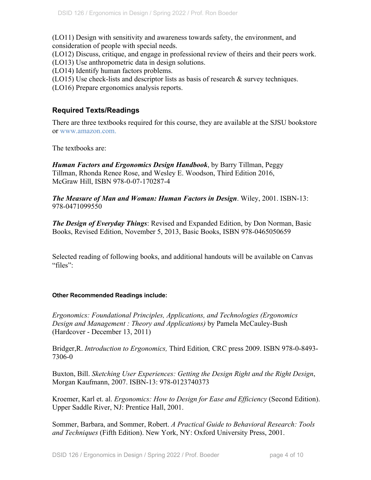(LO11) Design with sensitivity and awareness towards safety, the environment, and consideration of people with special needs.

(LO12) Discuss, critique, and engage in professional review of theirs and their peers work.

(LO13) Use anthropometric data in design solutions.

(LO14) Identify human factors problems.

(LO15) Use check-lists and descriptor lists as basis of research & survey techniques.

(LO16) Prepare ergonomics analysis reports.

# **Required Texts/Readings**

There are three textbooks required for this course, they are available at the SJSU bookstore or www.amazon.com.

The textbooks are:

*Human Factors and Ergonomics Design Handbook*, by Barry Tillman, Peggy Tillman, Rhonda Renee Rose, and Wesley E. Woodson, Third Edition 2016, McGraw Hill, ISBN 978-0-07-170287-4

*The Measure of Man and Woman: Human Factors in Design*. Wiley, 2001. ISBN-13: 978-0471099550

*The Design of Everyday Things*: Revised and Expanded Edition, by Don Norman, Basic Books, Revised Edition, November 5, 2013, Basic Books, ISBN 978-0465050659

Selected reading of following books, and additional handouts will be available on Canvas "files":

#### **Other Recommended Readings include:**

*Ergonomics: Foundational Principles, Applications, and Technologies (Ergonomics Design and Management : Theory and Applications)* by Pamela McCauley-Bush (Hardcover - December 13, 2011)

Bridger,R. *Introduction to Ergonomics,* Third Edition*,* CRC press 2009. ISBN 978-0-8493- 7306-0

Buxton, Bill. *Sketching User Experiences: Getting the Design Right and the Right Design*, Morgan Kaufmann, 2007. ISBN-13: 978-0123740373

Kroemer, Karl et. al. *Ergonomics: How to Design for Ease and Efficiency* (Second Edition). Upper Saddle River, NJ: Prentice Hall, 2001.

Sommer, Barbara, and Sommer, Robert. *A Practical Guide to Behavioral Research: Tools and Techniques* (Fifth Edition). New York, NY: Oxford University Press, 2001.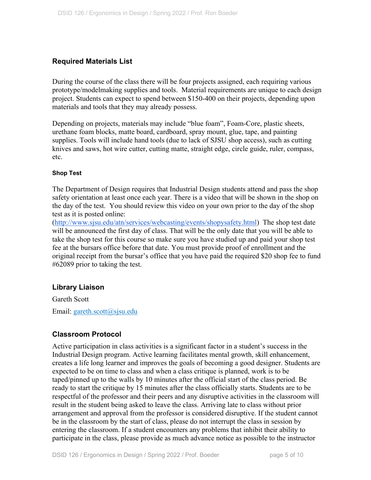## **Required Materials List**

During the course of the class there will be four projects assigned, each requiring various prototype/modelmaking supplies and tools. Material requirements are unique to each design project. Students can expect to spend between \$150-400 on their projects, depending upon materials and tools that they may already possess.

Depending on projects, materials may include "blue foam", Foam-Core, plastic sheets, urethane foam blocks, matte board, cardboard, spray mount, glue, tape, and painting supplies. Tools will include hand tools (due to lack of SJSU shop access), such as cutting knives and saws, hot wire cutter, cutting matte, straight edge, circle guide, ruler, compass, etc.

#### **Shop Test**

The Department of Design requires that Industrial Design students attend and pass the shop safety orientation at least once each year. There is a video that will be shown in the shop on the day of the test. You should review this video on your own prior to the day of the shop test as it is posted online:

(http://www.sjsu.edu/atn/services/webcasting/events/shopysafety.html) The shop test date will be announced the first day of class. That will be the only date that you will be able to take the shop test for this course so make sure you have studied up and paid your shop test fee at the bursars office before that date. You must provide proof of enrollment and the original receipt from the bursar's office that you have paid the required \$20 shop fee to fund #62089 prior to taking the test.

## **Library Liaison**

Gareth Scott

Email: gareth.scott@sjsu.edu

## **Classroom Protocol**

Active participation in class activities is a significant factor in a student's success in the Industrial Design program. Active learning facilitates mental growth, skill enhancement, creates a life long learner and improves the goals of becoming a good designer. Students are expected to be on time to class and when a class critique is planned, work is to be taped/pinned up to the walls by 10 minutes after the official start of the class period. Be ready to start the critique by 15 minutes after the class officially starts. Students are to be respectful of the professor and their peers and any disruptive activities in the classroom will result in the student being asked to leave the class. Arriving late to class without prior arrangement and approval from the professor is considered disruptive. If the student cannot be in the classroom by the start of class, please do not interrupt the class in session by entering the classroom. If a student encounters any problems that inhibit their ability to participate in the class, please provide as much advance notice as possible to the instructor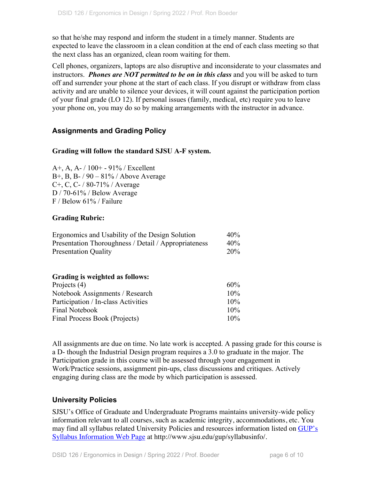so that he/she may respond and inform the student in a timely manner. Students are expected to leave the classroom in a clean condition at the end of each class meeting so that the next class has an organized, clean room waiting for them.

Cell phones, organizers, laptops are also disruptive and inconsiderate to your classmates and instructors. *Phones are NOT permitted to be on in this class* and you will be asked to turn off and surrender your phone at the start of each class. If you disrupt or withdraw from class activity and are unable to silence your devices, it will count against the participation portion of your final grade (LO 12). If personal issues (family, medical, etc) require you to leave your phone on, you may do so by making arrangements with the instructor in advance.

## **Assignments and Grading Policy**

## **Grading will follow the standard SJSU A-F system.**

A+, A, A- / 100+ - 91% / Excellent B+, B, B- / 90 – 81% / Above Average C+, C, C- / 80-71% / Average D / 70-61% / Below Average F / Below 61% / Failure

## **Grading Rubric:**

| Ergonomics and Usability of the Design Solution      | 40% |
|------------------------------------------------------|-----|
| Presentation Thoroughness / Detail / Appropriateness | 40% |
| <b>Presentation Quality</b>                          | 20% |

#### **Grading is weighted as follows:**

| $60\%$ |
|--------|
| $10\%$ |
| $10\%$ |
| $10\%$ |
| $10\%$ |
|        |

All assignments are due on time. No late work is accepted. A passing grade for this course is a D- though the Industrial Design program requires a 3.0 to graduate in the major. The Participation grade in this course will be assessed through your engagement in Work/Practice sessions, assignment pin-ups, class discussions and critiques. Actively engaging during class are the mode by which participation is assessed.

## **University Policies**

SJSU's Office of Graduate and Undergraduate Programs maintains university-wide policy information relevant to all courses, such as academic integrity, accommodations, etc. You may find all syllabus related University Policies and resources information listed on GUP's Syllabus Information Web Page at http://www.sjsu.edu/gup/syllabusinfo/.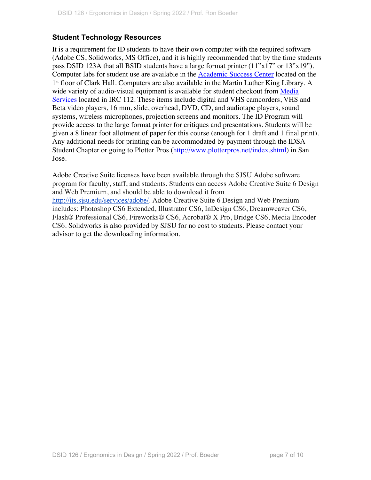# **Student Technology Resources**

It is a requirement for ID students to have their own computer with the required software (Adobe CS, Solidworks, MS Office), and it is highly recommended that by the time students pass DSID 123A that all BSID students have a large format printer (11"x17" or 13"x19"). Computer labs for student use are available in the Academic Success Center located on the 1<sup>st</sup> floor of Clark Hall. Computers are also available in the Martin Luther King Library. A wide variety of audio-visual equipment is available for student checkout from Media Services located in IRC 112. These items include digital and VHS camcorders, VHS and Beta video players, 16 mm, slide, overhead, DVD, CD, and audiotape players, sound systems, wireless microphones, projection screens and monitors. The ID Program will provide access to the large format printer for critiques and presentations. Students will be given a 8 linear foot allotment of paper for this course (enough for 1 draft and 1 final print). Any additional needs for printing can be accommodated by payment through the IDSA Student Chapter or going to Plotter Pros (http://www.plotterpros.net/index.shtml) in San Jose.

Adobe Creative Suite licenses have been available through the SJSU Adobe software program for faculty, staff, and students. Students can access Adobe Creative Suite 6 Design and Web Premium, and should be able to download it from http://its.sjsu.edu/services/adobe/. Adobe Creative Suite 6 Design and Web Premium includes: Photoshop CS6 Extended, Illustrator CS6, InDesign CS6, Dreamweaver CS6, Flash® Professional CS6, Fireworks® CS6, Acrobat® X Pro, Bridge CS6, Media Encoder CS6. Solidworks is also provided by SJSU for no cost to students. Please contact your advisor to get the downloading information.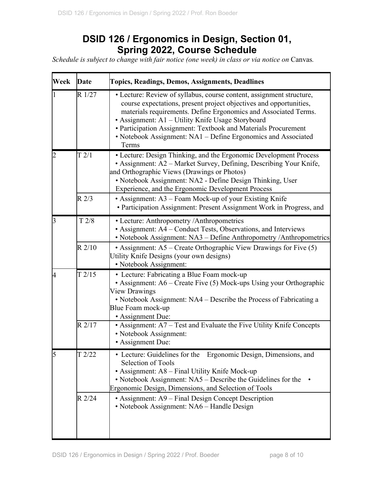# **DSID 126 / Ergonomics in Design, Section 01, Spring 2022, Course Schedule**

*Schedule is subject to change with fair notice (one week) in class or via notice on Canvas.* 

| Week | Date     | <b>Topics, Readings, Demos, Assignments, Deadlines</b>                                                                                                                                                                                                                                                                                                                                                         |
|------|----------|----------------------------------------------------------------------------------------------------------------------------------------------------------------------------------------------------------------------------------------------------------------------------------------------------------------------------------------------------------------------------------------------------------------|
|      | R 1/27   | • Lecture: Review of syllabus, course content, assignment structure,<br>course expectations, present project objectives and opportunities,<br>materials requirements. Define Ergonomics and Associated Terms.<br>• Assignment: A1 - Utility Knife Usage Storyboard<br>• Participation Assignment: Textbook and Materials Procurement<br>• Notebook Assignment: NA1 - Define Ergonomics and Associated<br>Terms |
|      | T2/1     | • Lecture: Design Thinking, and the Ergonomic Development Process<br>• Assignment: A2 - Market Survey, Defining, Describing Your Knife,<br>and Orthographic Views (Drawings or Photos)<br>• Notebook Assignment: NA2 - Define Design Thinking, User<br>Experience, and the Ergonomic Development Process                                                                                                       |
|      | $R$ 2/3  | • Assignment: A3 – Foam Mock-up of your Existing Knife<br>• Participation Assignment: Present Assignment Work in Progress, and                                                                                                                                                                                                                                                                                 |
| B    | T 2/8    | • Lecture: Anthropometry / Anthropometrics<br>• Assignment: A4 – Conduct Tests, Observations, and Interviews<br>• Notebook Assignment: NA3 - Define Anthropometry / Anthropometrics                                                                                                                                                                                                                            |
|      | $R$ 2/10 | • Assignment: $A5$ – Create Orthographic View Drawings for Five $(5)$<br>Utility Knife Designs (your own designs)<br>• Notebook Assignment:                                                                                                                                                                                                                                                                    |
| 4    | T2/15    | • Lecture: Fabricating a Blue Foam mock-up<br>• Assignment: $A6$ – Create Five (5) Mock-ups Using your Orthographic<br>View Drawings<br>• Notebook Assignment: NA4 – Describe the Process of Fabricating a<br>Blue Foam mock-up<br>• Assignment Due:                                                                                                                                                           |
|      | R2/17    | • Assignment: A7 – Test and Evaluate the Five Utility Knife Concepts<br>• Notebook Assignment:<br>• Assignment Due:                                                                                                                                                                                                                                                                                            |
|      | T2/22    | Ergonomic Design, Dimensions, and<br>• Lecture: Guidelines for the<br><b>Selection of Tools</b><br>• Assignment: A8 - Final Utility Knife Mock-up<br>• Notebook Assignment: NA5 – Describe the Guidelines for the<br>Ergonomic Design, Dimensions, and Selection of Tools                                                                                                                                      |
|      | R 2/24   | • Assignment: A9 – Final Design Concept Description<br>• Notebook Assignment: NA6 - Handle Design                                                                                                                                                                                                                                                                                                              |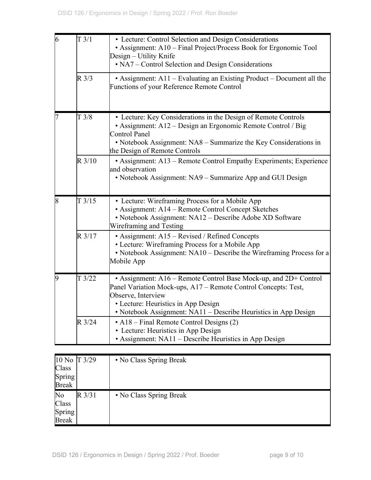| 6 | T3/1           | • Lecture: Control Selection and Design Considerations<br>• Assignment: A10 – Final Project/Process Book for Ergonomic Tool<br>Design – Utility Knife<br>• NA7 – Control Selection and Design Considerations                                                       |
|---|----------------|--------------------------------------------------------------------------------------------------------------------------------------------------------------------------------------------------------------------------------------------------------------------|
|   | $R\frac{3}{3}$ | • Assignment: $A11$ – Evaluating an Existing Product – Document all the<br>Functions of your Reference Remote Control                                                                                                                                              |
|   | T3/8           | • Lecture: Key Considerations in the Design of Remote Controls<br>• Assignment: A12 – Design an Ergonomic Remote Control / Big<br>Control Panel<br>• Notebook Assignment: NA8 – Summarize the Key Considerations in<br>the Design of Remote Controls               |
|   | R3/10          | • Assignment: A13 - Remote Control Empathy Experiments; Experience<br>and observation<br>• Notebook Assignment: NA9 – Summarize App and GUI Design                                                                                                                 |
| 8 | T3/15          | • Lecture: Wireframing Process for a Mobile App<br>• Assignment: A14 - Remote Control Concept Sketches<br>· Notebook Assignment: NA12 - Describe Adobe XD Software<br>Wireframing and Testing                                                                      |
|   | R 3/17         | • Assignment: A15 – Revised / Refined Concepts<br>• Lecture: Wireframing Process for a Mobile App<br>• Notebook Assignment: NA10 - Describe the Wireframing Process for a<br>Mobile App                                                                            |
| 9 | T3/22          | • Assignment: A16 – Remote Control Base Mock-up, and 2D+ Control<br>Panel Variation Mock-ups, A17 – Remote Control Concepts: Test,<br>Observe, Interview<br>• Lecture: Heuristics in App Design<br>• Notebook Assignment: NA11 – Describe Heuristics in App Design |
|   | R 3/24         | • A18 – Final Remote Control Designs (2)<br>• Lecture: Heuristics in App Design<br>• Assignment: NA11 – Describe Heuristics in App Design                                                                                                                          |

| 10 No T 3/29  |           | • No Class Spring Break |
|---------------|-----------|-------------------------|
| Class         |           |                         |
| <b>Spring</b> |           |                         |
| <b>Break</b>  |           |                         |
| No            | $R\,3/31$ | • No Class Spring Break |
|               |           |                         |
| Class         |           |                         |
| <b>Spring</b> |           |                         |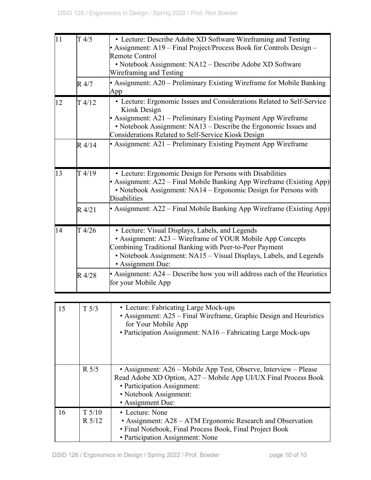| 11 | T4/5     | • Lecture: Describe Adobe XD Software Wireframing and Testing              |
|----|----------|----------------------------------------------------------------------------|
|    |          | Assignment: $A19$ – Final Project/Process Book for Controls Design –       |
|    |          | <b>Remote Control</b>                                                      |
|    |          | • Notebook Assignment: NA12 - Describe Adobe XD Software                   |
|    |          | Wireframing and Testing                                                    |
|    | R 4/7    | • Assignment: A20 – Preliminary Existing Wireframe for Mobile Banking      |
|    |          | App                                                                        |
| 12 | T4/12    | • Lecture: Ergonomic Issues and Considerations Related to Self-Service     |
|    |          | Kiosk Design                                                               |
|    |          | • Assignment: A21 – Preliminary Existing Payment App Wireframe             |
|    |          | • Notebook Assignment: NA13 – Describe the Ergonomic Issues and            |
|    |          | Considerations Related to Self-Service Kiosk Design                        |
|    | $R$ 4/14 | • Assignment: A21 – Preliminary Existing Payment App Wireframe             |
|    |          |                                                                            |
|    |          |                                                                            |
| 13 | T4/19    | • Lecture: Ergonomic Design for Persons with Disabilities                  |
|    |          | • Assignment: A22 – Final Mobile Banking App Wireframe (Existing App)      |
|    |          | • Notebook Assignment: NA14 – Ergonomic Design for Persons with            |
|    |          | <b>Disabilities</b>                                                        |
|    | R 4/21   | • Assignment: $A22$ – Final Mobile Banking App Wireframe (Existing App)    |
|    |          |                                                                            |
| 14 | T4/26    | • Lecture: Visual Displays, Labels, and Legends                            |
|    |          | • Assignment: A23 – Wireframe of YOUR Mobile App Concepts                  |
|    |          | Combining Traditional Banking with Peer-to-Peer Payment                    |
|    |          | • Notebook Assignment: NA15 – Visual Displays, Labels, and Legends         |
|    |          | • Assignment Due:                                                          |
|    | R 4/28   | • Assignment: $A24$ – Describe how you will address each of the Heuristics |
|    |          | for your Mobile App                                                        |
|    |          |                                                                            |
| 15 | T 5/3    | • Lecture: Fabricating Large Mock-ups                                      |
|    |          | • Assignment: A25 – Final Wireframe, Graphic Design and Heuristics         |
|    |          | for Your Mobile App                                                        |
|    |          | • Participation Assignment: NA16 - Fabricating Large Mock-ups              |
|    |          |                                                                            |
|    |          |                                                                            |
|    |          |                                                                            |
|    | $R$ 5/5  | • Assignment: A26 – Mobile App Test, Observe, Interview – Please           |
|    |          | Read Adobe XD Option, A27 - Mobile App UI/UX Final Process Book            |
|    |          | • Participation Assignment:                                                |
|    |          | • Notebook Assignment:                                                     |
|    |          | • Assignment Due:                                                          |
| 16 | $T$ 5/10 | • Lecture: None                                                            |
|    | R 5/12   | • Assignment: A28 – ATM Ergonomic Research and Observation                 |
|    |          | · Final Notebook, Final Process Book, Final Project Book                   |
|    |          | • Participation Assignment: None                                           |